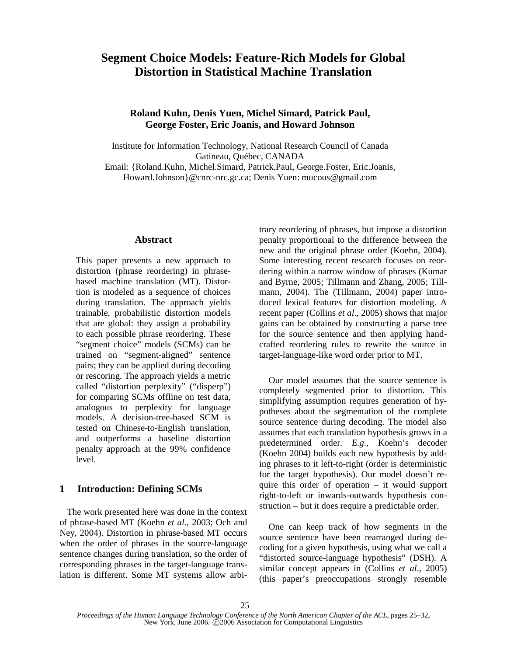# **Segment Choice Models: Feature-Rich Models for Global Distortion in Statistical Machine Translation**

# **Roland Kuhn, Denis Yuen, Michel Simard, Patrick Paul, George Foster, Eric Joanis, and Howard Johnson**

Institute for Information Technology, National Research Council of Canada Gatineau, Québec, CANADA Email: {Roland.Kuhn, Michel.Simard, Patrick.Paul, George.Foster, Eric.Joanis, Howard.Johnson}@cnrc-nrc.gc.ca; Denis Yuen: mucous@gmail.com

## **Abstract**

This paper presents a new approach to distortion (phrase reordering) in phrasebased machine translation (MT). Distortion is modeled as a sequence of choices during translation. The approach yields trainable, probabilistic distortion models that are global: they assign a probability to each possible phrase reordering. These "segment choice" models (SCMs) can be trained on "segment-aligned" sentence pairs; they can be applied during decoding or rescoring. The approach yields a metric called "distortion perplexity" ("disperp") for comparing SCMs offline on test data, analogous to perplexity for language models. A decision-tree-based SCM is tested on Chinese-to-English translation, and outperforms a baseline distortion penalty approach at the 99% confidence level.

# **1 Introduction: Defining SCMs**

The work presented here was done in the context of phrase-based MT (Koehn *et al*., 2003; Och and Ney, 2004). Distortion in phrase-based MT occurs when the order of phrases in the source-language sentence changes during translation, so the order of corresponding phrases in the target-language translation is different. Some MT systems allow arbitrary reordering of phrases, but impose a distortion penalty proportional to the difference between the new and the original phrase order (Koehn, 2004). Some interesting recent research focuses on reordering within a narrow window of phrases (Kumar and Byrne, 2005; Tillmann and Zhang, 2005; Tillmann, 2004). The (Tillmann, 2004) paper introduced lexical features for distortion modeling. A recent paper (Collins *et al*., 2005) shows that major gains can be obtained by constructing a parse tree for the source sentence and then applying handcrafted reordering rules to rewrite the source in target-language-like word order prior to MT.

Our model assumes that the source sentence is completely segmented prior to distortion. This simplifying assumption requires generation of hypotheses about the segmentation of the complete source sentence during decoding. The model also assumes that each translation hypothesis grows in a predetermined order. *E.g.*, Koehn's decoder (Koehn 2004) builds each new hypothesis by adding phrases to it left-to-right (order is deterministic for the target hypothesis). Our model doesn't require this order of operation – it would support right-to-left or inwards-outwards hypothesis construction – but it does require a predictable order.

One can keep track of how segments in the source sentence have been rearranged during decoding for a given hypothesis, using what we call a "distorted source-language hypothesis" (DSH). A similar concept appears in (Collins *et al*., 2005) (this paper's preoccupations strongly resemble

*Proceedings of the Human Language Technology Conference of the North American Chapter of the ACL*, pages 25–32, New York, June 2006.  $\tilde{C}$ 2006 Association for Computational Linguistics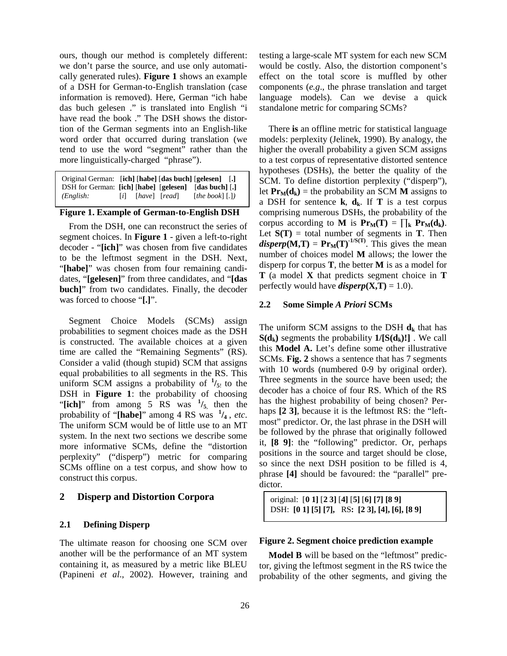ours, though our method is completely different: we don't parse the source, and use only automatically generated rules). **Figure 1** shows an example of a DSH for German-to-English translation (case information is removed). Here, German "ich habe das buch gelesen ." is translated into English "i have read the book ." The DSH shows the distortion of the German segments into an English-like word order that occurred during translation (we tend to use the word "segment" rather than the more linguistically-charged "phrase").

| Original German: [ich] [habe] [das buch] [gelesen] [.] |                   |               |                                |
|--------------------------------------------------------|-------------------|---------------|--------------------------------|
| DSH for German: [ich] [habe] [gelesen] [das buch] [.]  |                   |               |                                |
| (English:                                              | $\lceil i \rceil$ | [have] [read] | [the book] $\lceil . \rceil$ ] |

#### **Figure 1. Example of German-to-English DSH**

From the DSH, one can reconstruct the series of segment choices. In **Figure 1** - given a left-to-right decoder - "**[ich]**" was chosen from five candidates to be the leftmost segment in the DSH. Next, "[habe]" was chosen from four remaining candidates, "**[gelesen]**" from three candidates, and "**[das buch]**" from two candidates. Finally, the decoder was forced to choose "**[.]**".

Segment Choice Models (SCMs) assign probabilities to segment choices made as the DSH is constructed. The available choices at a given time are called the "Remaining Segments" (RS). Consider a valid (though stupid) SCM that assigns equal probabilities to all segments in the RS. This uniform SCM assigns a probability of  $\frac{1}{5!}$  to the DSH in **Figure 1**: the probability of choosing "[ich]" from among  $5$  RS was  $\frac{1}{5}$ , then the probability of "**[habe]**" among 4 RS was **1 /<sup>4</sup>** , *etc*. The uniform SCM would be of little use to an MT system. In the next two sections we describe some more informative SCMs, define the "distortion perplexity" ("disperp") metric for comparing SCMs offline on a test corpus, and show how to construct this corpus.

#### **2 Disperp and Distortion Corpora**

# **2.1 Defining Disperp**

The ultimate reason for choosing one SCM over another will be the performance of an MT system containing it, as measured by a metric like BLEU (Papineni *et al*., 2002). However, training and

testing a large-scale MT system for each new SCM would be costly. Also, the distortion component's effect on the total score is muffled by other components (*e.g*., the phrase translation and target language models). Can we devise a quick standalone metric for comparing SCMs?

There **is** an offline metric for statistical language models: perplexity (Jelinek, 1990). By analogy, the higher the overall probability a given SCM assigns to a test corpus of representative distorted sentence hypotheses (DSHs), the better the quality of the SCM. To define distortion perplexity ("disperp"), let  $\mathbf{Pr}_{\mathbf{M}}(\mathbf{d}_k)$  = the probability an SCM **M** assigns to a DSH for sentence  $\bf{k}$ ,  $\bf{d}_k$ . If **T** is a test corpus comprising numerous DSHs, the probability of the corpus according to **M** is  $\mathbf{Pr}_{M}(T) = \prod_{k} \mathbf{Pr}_{M}(d_{k}).$ Let  $S(T)$  = total number of segments in  $T$ . Then  $disperp(M,T) = Pr_M(T)^{-1/S(T)}$ . This gives the mean number of choices model **M** allows; the lower the disperp for corpus **T**, the better **M** is as a model for **T** (a model **X** that predicts segment choice in **T** perfectly would have  $disperp(X,T) = 1.0$ .

#### **2.2 Some Simple** *A Priori* **SCMs**

The uniform SCM assigns to the DSH  $\mathbf{d}_{\mathbf{k}}$  that has  $S(d_k)$  segments the probability  $1/[S(d_k)!]$ . We call this **Model A.** Let's define some other illustrative SCMs. **Fig. 2** shows a sentence that has 7 segments with 10 words (numbered 0-9 by original order). Three segments in the source have been used; the decoder has a choice of four RS. Which of the RS has the highest probability of being chosen? Perhaps **[2 3]**, because it is the leftmost RS: the "leftmost" predictor. Or, the last phrase in the DSH will be followed by the phrase that originally followed it, **[8 9]**: the "following" predictor. Or, perhaps positions in the source and target should be close, so since the next DSH position to be filled is 4, phrase **[4]** should be favoured: the "parallel" predictor.

original: [**0 1]** [**2 3]** [**4]** [**5]** [**6] [7] [8 9]** DSH: **[0 1] [5] [7],** RS**: [2 3], [4], [6], [8 9]**

#### **Figure 2. Segment choice prediction example**

**Model B** will be based on the "leftmost" predictor, giving the leftmost segment in the RS twice the probability of the other segments, and giving the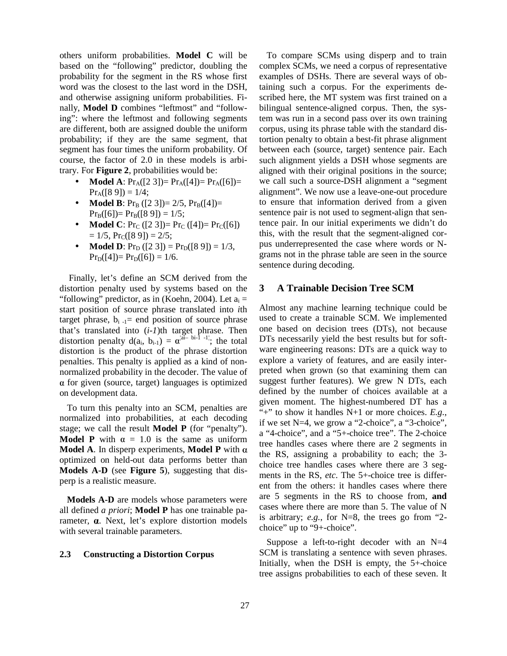others uniform probabilities. **Model C** will be based on the "following" predictor, doubling the probability for the segment in the RS whose first word was the closest to the last word in the DSH, and otherwise assigning uniform probabilities. Finally, **Model D** combines "leftmost" and "following": where the leftmost and following segments are different, both are assigned double the uniform probability; if they are the same segment, that segment has four times the uniform probability. Of course, the factor of 2.0 in these models is arbitrary. For **Figure 2**, probabilities would be:

- **Model A**:  $Pr_A([2 3]) = Pr_A([4]) = Pr_A([6]) =$  $Pr_A([8 9]) = 1/4;$
- **Model B**:  $Pr_B([2 3]) = 2/5$ ,  $Pr_B([4]) =$  $Pr_B([6])= Pr_B([8 9]) = 1/5;$
- **Model C**:  $Pr_C([2 3]) = Pr_C([4]) = Pr_C([6])$  $= 1/5$ ,  $Pr_C([8 9]) = 2/5$ ;
- **Model D**:  $Pr_D$  ([2 3]) =  $Pr_D$  ([8 9]) = 1/3,  $Pr_D([4])= Pr_D([6]) = 1/6.$

Finally, let's define an SCM derived from the distortion penalty used by systems based on the "following" predictor, as in (Koehn, 2004). Let  $a_i =$ start position of source phrase translated into *i*th target phrase,  $b_{i-1}$  = end position of source phrase that's translated into (*i-1*)th target phrase. Then distortion penalty  $d(a_i, b_{i-1}) = \alpha^{|\vec{a}-\vec{b}i|\cdot|\vec{a}-1|}$ ; the total distortion is the product of the phrase distortion penalties. This penalty is applied as a kind of nonnormalized probability in the decoder. The value of  $\alpha$  for given (source, target) languages is optimized on development data.

To turn this penalty into an SCM, penalties are normalized into probabilities, at each decoding stage; we call the result **Model P** (for "penalty"). **Model P** with  $\alpha = 1.0$  is the same as uniform **Model A.** In disperp experiments, **Model P** with  $\alpha$ optimized on held-out data performs better than **Models A-D** (see **Figure 5**), suggesting that disperp is a realistic measure.

**Models A-D** are models whose parameters were all defined *a priori*; **Model P** has one trainable parameter,  $\alpha$ . Next, let's explore distortion models with several trainable parameters.

#### **2.3 Constructing a Distortion Corpus**

To compare SCMs using disperp and to train complex SCMs, we need a corpus of representative examples of DSHs. There are several ways of obtaining such a corpus. For the experiments described here, the MT system was first trained on a bilingual sentence-aligned corpus. Then, the system was run in a second pass over its own training corpus, using its phrase table with the standard distortion penalty to obtain a best-fit phrase alignment between each (source, target) sentence pair. Each such alignment yields a DSH whose segments are aligned with their original positions in the source; we call such a source-DSH alignment a "segment alignment". We now use a leave-one-out procedure to ensure that information derived from a given sentence pair is not used to segment-align that sentence pair. In our initial experiments we didn't do this, with the result that the segment-aligned corpus underrepresented the case where words or Ngrams not in the phrase table are seen in the source sentence during decoding.

# **3 A Trainable Decision Tree SCM**

Almost any machine learning technique could be used to create a trainable SCM. We implemented one based on decision trees (DTs), not because DTs necessarily yield the best results but for software engineering reasons: DTs are a quick way to explore a variety of features, and are easily interpreted when grown (so that examining them can suggest further features). We grew N DTs, each defined by the number of choices available at a given moment. The highest-numbered DT has a "+" to show it handles N+1 or more choices. *E.g.*, if we set N=4, we grow a "2-choice", a "3-choice", a "4-choice", and a "5+-choice tree". The 2-choice tree handles cases where there are 2 segments in the RS, assigning a probability to each; the 3 choice tree handles cases where there are 3 segments in the RS, *etc*. The 5+-choice tree is different from the others: it handles cases where there are 5 segments in the RS to choose from, **and** cases where there are more than 5. The value of N is arbitrary; *e.g.*, for N=8, the trees go from "2 choice" up to "9+-choice".

Suppose a left-to-right decoder with an  $N=4$ SCM is translating a sentence with seven phrases. Initially, when the DSH is empty, the 5+-choice tree assigns probabilities to each of these seven. It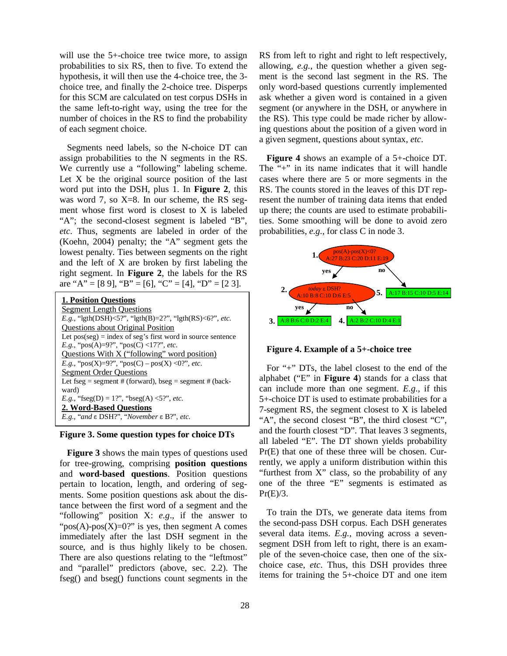will use the 5+-choice tree twice more, to assign probabilities to six RS, then to five. To extend the hypothesis, it will then use the 4-choice tree, the 3 choice tree, and finally the 2-choice tree. Disperps for this SCM are calculated on test corpus DSHs in the same left-to-right way, using the tree for the number of choices in the RS to find the probability of each segment choice.

Segments need labels, so the N-choice DT can assign probabilities to the N segments in the RS. We currently use a "following" labeling scheme. Let X be the original source position of the last word put into the DSH, plus 1. In **Figure 2**, this was word 7, so X=8. In our scheme, the RS segment whose first word is closest to X is labeled "A"; the second-closest segment is labeled "B", *etc*. Thus, segments are labeled in order of the (Koehn, 2004) penalty; the "A" segment gets the lowest penalty. Ties between segments on the right and the left of X are broken by first labeling the right segment. In **Figure 2**, the labels for the RS are "A" = [8 9], "B" = [6], "C" = [4], "D" = [2 3].

| <b>1. Position Ouestions</b>                                    |
|-----------------------------------------------------------------|
| <b>Segment Length Questions</b>                                 |
| <i>E.g.</i> , "lgth(DSH)<5?", "lgth(B)=2?", "lgth(RS)<6?", etc. |
| <b>Questions about Original Position</b>                        |
| Let $pos(seg) = index of seg's first word in source sentence$   |
| <i>E.g.</i> , "pos(A)=9?", "pos(C) <17?", <i>etc.</i>           |
| Questions With X ("following" word position)                    |
| <i>E.g.</i> , " $pos(X)=9$ ", " $pos(C) - pos(X) < 0$ ", etc.   |
| <b>Segment Order Ouestions</b>                                  |
| Let fseg = segment # (forward), bseg = segment # (back-         |
| ward)                                                           |
| <i>E.g.</i> , "fseg(D) = 1?", "bseg(A) <5?", <i>etc.</i>        |
| 2. Word-Based Questions                                         |
| E.g., "and ε DSH?", "November ε Β?", etc.                       |
|                                                                 |



**Figure 3** shows the main types of questions used for tree-growing, comprising **position questions** and **word-based questions**. Position questions pertain to location, length, and ordering of segments. Some position questions ask about the distance between the first word of a segment and the "following" position X: *e.g*., if the answer to " $pos(A)$ - $pos(X)=0$ ?" is yes, then segment A comes immediately after the last DSH segment in the source, and is thus highly likely to be chosen. There are also questions relating to the "leftmost" and "parallel" predictors (above, sec. 2.2). The fseg() and bseg() functions count segments in the RS from left to right and right to left respectively, allowing, *e.g.*, the question whether a given segment is the second last segment in the RS. The only word-based questions currently implemented ask whether a given word is contained in a given segment (or anywhere in the DSH, or anywhere in the RS). This type could be made richer by allowing questions about the position of a given word in a given segment, questions about syntax, *etc*.

**Figure 4** shows an example of a 5+-choice DT. The "+" in its name indicates that it will handle cases where there are 5 or more segments in the RS. The counts stored in the leaves of this DT represent the number of training data items that ended up there; the counts are used to estimate probabilities. Some smoothing will be done to avoid zero probabilities, *e.g.*, for class C in node 3.



**Figure 4. Example of a 5+-choice tree**

For "+" DTs, the label closest to the end of the alphabet ("E" in **Figure 4**) stands for a class that can include more than one segment. *E.g.*, if this 5+-choice DT is used to estimate probabilities for a 7-segment RS, the segment closest to X is labeled "A", the second closest "B", the third closest "C", and the fourth closest "D". That leaves 3 segments, all labeled "E". The DT shown yields probability Pr(E) that one of these three will be chosen. Currently, we apply a uniform distribution within this "furthest from X" class, so the probability of any one of the three "E" segments is estimated as  $Pr(E)/3$ .

To train the DTs, we generate data items from the second-pass DSH corpus. Each DSH generates several data items. *E.g.*, moving across a sevensegment DSH from left to right, there is an example of the seven-choice case, then one of the sixchoice case, *etc*. Thus, this DSH provides three items for training the 5+-choice DT and one item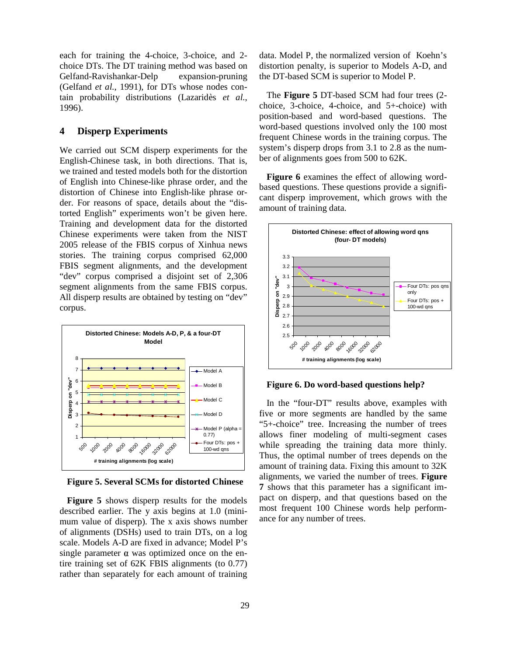each for training the 4-choice, 3-choice, and 2 choice DTs. The DT training method was based on Gelfand-Ravishankar-Delp expansion-pruning (Gelfand *et al.*, 1991), for DTs whose nodes contain probability distributions (Lazaridès *et al.*, 1996).

# **4 Disperp Experiments**

We carried out SCM disperp experiments for the English-Chinese task, in both directions. That is, we trained and tested models both for the distortion of English into Chinese-like phrase order, and the distortion of Chinese into English-like phrase order. For reasons of space, details about the "distorted English" experiments won't be given here. Training and development data for the distorted Chinese experiments were taken from the NIST 2005 release of the FBIS corpus of Xinhua news stories. The training corpus comprised 62,000 FBIS segment alignments, and the development "dev" corpus comprised a disjoint set of 2,306 segment alignments from the same FBIS corpus. All disperp results are obtained by testing on "dev" corpus.



**Figure 5. Several SCMs for distorted Chinese**

**Figure 5** shows disperp results for the models described earlier. The y axis begins at 1.0 (minimum value of disperp). The x axis shows number of alignments (DSHs) used to train DTs, on a log scale. Models A-D are fixed in advance; Model P's single parameter  $\alpha$  was optimized once on the entire training set of 62K FBIS alignments (to 0.77) rather than separately for each amount of training data. Model P, the normalized version of Koehn's distortion penalty, is superior to Models A-D, and the DT-based SCM is superior to Model P.

The **Figure 5** DT-based SCM had four trees (2 choice, 3-choice, 4-choice, and 5+-choice) with position-based and word-based questions. The word-based questions involved only the 100 most frequent Chinese words in the training corpus. The system's disperp drops from 3.1 to 2.8 as the number of alignments goes from 500 to 62K.

**Figure 6** examines the effect of allowing wordbased questions. These questions provide a significant disperp improvement, which grows with the amount of training data.



**Figure 6. Do word-based questions help?**

In the "four-DT" results above, examples with five or more segments are handled by the same "5+-choice" tree. Increasing the number of trees allows finer modeling of multi-segment cases while spreading the training data more thinly. Thus, the optimal number of trees depends on the amount of training data. Fixing this amount to 32K alignments, we varied the number of trees. **Figure 7** shows that this parameter has a significant impact on disperp, and that questions based on the most frequent 100 Chinese words help performance for any number of trees.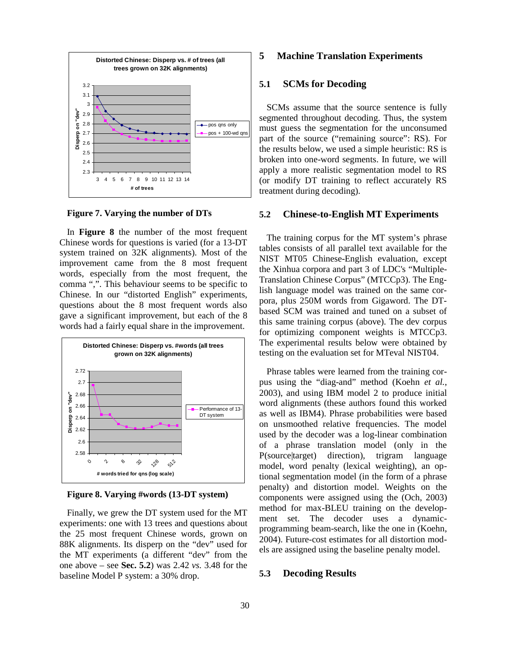

**Figure 7. Varying the number of DTs**

In **Figure 8** the number of the most frequent Chinese words for questions is varied (for a 13-DT system trained on 32K alignments). Most of the improvement came from the 8 most frequent words, especially from the most frequent, the comma ",". This behaviour seems to be specific to Chinese. In our "distorted English" experiments, questions about the 8 most frequent words also gave a significant improvement, but each of the 8 words had a fairly equal share in the improvement.



**Figure 8. Varying #words (13-DT system)**

Finally, we grew the DT system used for the MT experiments: one with 13 trees and questions about the 25 most frequent Chinese words, grown on 88K alignments. Its disperp on the "dev" used for the MT experiments (a different "dev" from the one above – see **Sec. 5.2**) was 2.42 *vs.* 3.48 for the baseline Model P system: a 30% drop.

# **5 Machine Translation Experiments**

# **5.1 SCMs for Decoding**

SCMs assume that the source sentence is fully segmented throughout decoding. Thus, the system must guess the segmentation for the unconsumed part of the source ("remaining source": RS). For the results below, we used a simple heuristic: RS is broken into one-word segments. In future, we will apply a more realistic segmentation model to RS (or modify DT training to reflect accurately RS treatment during decoding).

#### **5.2 Chinese-to-English MT Experiments**

The training corpus for the MT system's phrase tables consists of all parallel text available for the NIST MT05 Chinese-English evaluation, except the Xinhua corpora and part 3 of LDC's "Multiple-Translation Chinese Corpus" (MTCCp3). The English language model was trained on the same corpora, plus 250M words from Gigaword. The DTbased SCM was trained and tuned on a subset of this same training corpus (above). The dev corpus for optimizing component weights is MTCCp3. The experimental results below were obtained by testing on the evaluation set for MTeval NIST04.

Phrase tables were learned from the training corpus using the "diag-and" method (Koehn *et al.*, 2003), and using IBM model 2 to produce initial word alignments (these authors found this worked as well as IBM4). Phrase probabilities were based on unsmoothed relative frequencies. The model used by the decoder was a log-linear combination of a phrase translation model (only in the P(source|target) direction), trigram language model, word penalty (lexical weighting), an optional segmentation model (in the form of a phrase penalty) and distortion model. Weights on the components were assigned using the (Och, 2003) method for max-BLEU training on the development set. The decoder uses a dynamicprogramming beam-search, like the one in (Koehn, 2004). Future-cost estimates for all distortion models are assigned using the baseline penalty model.

# **5.3 Decoding Results**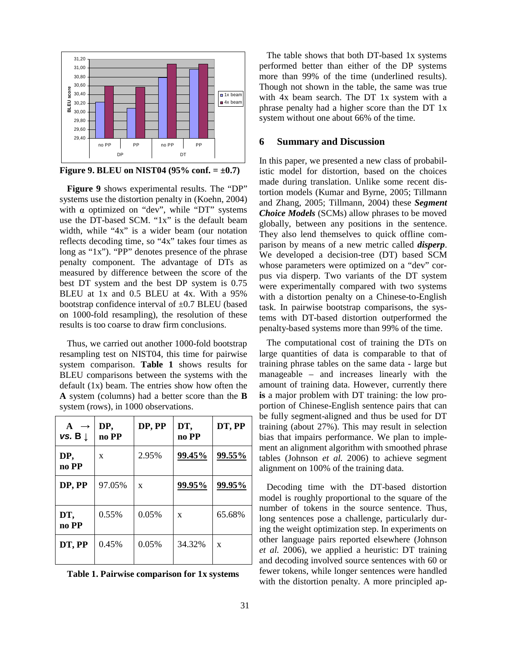

**Figure 9. BLEU on NIST04 (95% conf. = ±0.7)**

**Figure 9** shows experimental results. The "DP" systems use the distortion penalty in (Koehn, 2004) with  $\alpha$  optimized on "dev", while "DT" systems use the DT-based SCM. "1x" is the default beam width, while "4x" is a wider beam (our notation reflects decoding time, so "4x" takes four times as long as "1x"). "PP" denotes presence of the phrase penalty component. The advantage of DTs as measured by difference between the score of the best DT system and the best DP system is 0.75 BLEU at 1x and 0.5 BLEU at 4x. With a 95% bootstrap confidence interval of  $\pm 0.7$  BLEU (based on 1000-fold resampling), the resolution of these results is too coarse to draw firm conclusions.

Thus, we carried out another 1000-fold bootstrap resampling test on NIST04, this time for pairwise system comparison. **Table 1** shows results for BLEU comparisons between the systems with the default (1x) beam. The entries show how often the **A** system (columns) had a better score than the **B** system (rows), in 1000 observations.

| $A \rightarrow$<br>vs. B $\downarrow$ | DP,<br>no PP | DP, PP | DT,<br>no PP | DT, PP |
|---------------------------------------|--------------|--------|--------------|--------|
| DP,<br>no PP                          | X            | 2.95%  | 99.45%       | 99.55% |
| DP, PP                                | 97.05%       | X      | 99.95%       | 99.95% |
| DT,<br>no PP                          | $0.55\%$     | 0.05%  | X            | 65.68% |
| DT, PP                                | 0.45%        | 0.05%  | 34.32%       | X      |

| Table 1. Pairwise comparison for 1x systems |  |  |  |  |  |  |
|---------------------------------------------|--|--|--|--|--|--|
|---------------------------------------------|--|--|--|--|--|--|

The table shows that both DT-based 1x systems performed better than either of the DP systems more than 99% of the time (underlined results). Though not shown in the table, the same was true with 4x beam search. The DT 1x system with a phrase penalty had a higher score than the DT 1x system without one about 66% of the time.

#### **6 Summary and Discussion**

In this paper, we presented a new class of probabilistic model for distortion, based on the choices made during translation. Unlike some recent distortion models (Kumar and Byrne, 2005; Tillmann and Zhang, 2005; Tillmann, 2004) these *Segment Choice Models* (SCMs) allow phrases to be moved globally, between any positions in the sentence. They also lend themselves to quick offline comparison by means of a new metric called *disperp*. We developed a decision-tree (DT) based SCM whose parameters were optimized on a "dev" corpus via disperp. Two variants of the DT system were experimentally compared with two systems with a distortion penalty on a Chinese-to-English task. In pairwise bootstrap comparisons, the systems with DT-based distortion outperformed the penalty-based systems more than 99% of the time.

The computational cost of training the DTs on large quantities of data is comparable to that of training phrase tables on the same data - large but manageable – and increases linearly with the amount of training data. However, currently there **is** a major problem with DT training: the low proportion of Chinese-English sentence pairs that can be fully segment-aligned and thus be used for DT training (about 27%). This may result in selection bias that impairs performance. We plan to implement an alignment algorithm with smoothed phrase tables (Johnson *et al.* 2006) to achieve segment alignment on 100% of the training data.

Decoding time with the DT-based distortion model is roughly proportional to the square of the number of tokens in the source sentence. Thus, long sentences pose a challenge, particularly during the weight optimization step. In experiments on other language pairs reported elsewhere (Johnson *et al.* 2006), we applied a heuristic: DT training and decoding involved source sentences with 60 or fewer tokens, while longer sentences were handled with the distortion penalty. A more principled ap